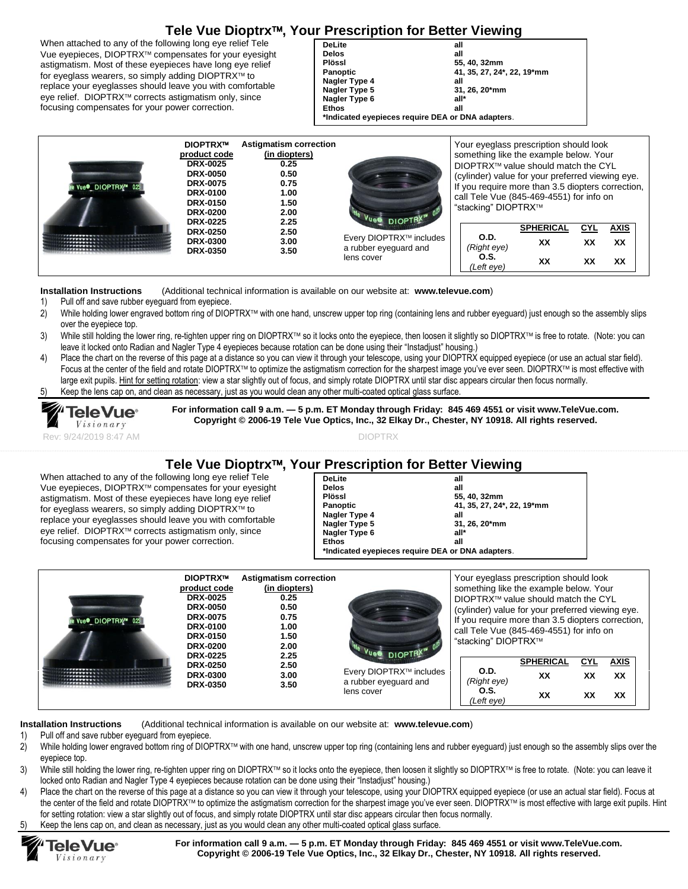## **Tele Vue Dioptrx, Your Prescription for Better Viewing**

When attached to any of the following long eye relief Tele Vue eyepieces, DIOPTRX<sup>™</sup> compensates for your eyesight astigmatism. Most of these eyepieces have long eye relief for eyeglass wearers, so simply adding DIOPTRX™ to replace your eyeglasses should leave you with comfortable eye relief. DIOPTRX<sup>™</sup> corrects astigmatism only, since focusing compensates for your power correction.

**DeLite all Delos**<br>Plössl **Plössl 55, 40, 32mm Panoptic 41, 35, 27, 24\*, 22, 19\*mm Nagler Type 4 all Nagler Type 5 Nagler Type 6 all\* Ethos all \*Indicated eyepieces require DEA or DNA adapters**.

| Vue <sup>®</sup> DIOPTRX™ 025 | <b>DIOPTRX™</b><br>product code<br><b>DRX-0025</b><br><b>DRX-0050</b><br><b>DRX-0075</b><br><b>DRX-0100</b><br><b>DRX-0150</b><br><b>DRX-0200</b> | <b>Astigmatism correction</b><br>(in diopters)<br>0.25<br>0.50<br>0.75<br>1.00<br>1.50<br>2.00 | Vues DIOPTRX <sup>II</sup><br>Every DIOPTRX™ includes<br>a rubber eyeguard and<br>lens cover | Your eyeglass prescription should look<br>something like the example below. Your<br>DIOPTRX™ value should match the CYL<br>(cylinder) value for your preferred viewing eye.<br>If you require more than 3.5 diopters correction,<br>call Tele Vue (845-469-4551) for info on<br>"stacking" DIOPTRX™ |                        |           |                   |  |  |
|-------------------------------|---------------------------------------------------------------------------------------------------------------------------------------------------|------------------------------------------------------------------------------------------------|----------------------------------------------------------------------------------------------|-----------------------------------------------------------------------------------------------------------------------------------------------------------------------------------------------------------------------------------------------------------------------------------------------------|------------------------|-----------|-------------------|--|--|
|                               | <b>DRX-0225</b><br><b>DRX-0250</b><br><b>DRX-0300</b>                                                                                             | 2.25<br>2.50<br>3.00                                                                           |                                                                                              | O.D.<br>(Right eye)                                                                                                                                                                                                                                                                                 | <b>SPHERICAL</b><br>XX | CYL<br>XX | <b>AXIS</b><br>XX |  |  |
|                               | <b>DRX-0350</b>                                                                                                                                   | 3.50                                                                                           |                                                                                              | O.S.<br>(Left eve)                                                                                                                                                                                                                                                                                  | XX                     | xх        | XX                |  |  |

**Installation Instructions** (Additional technical information is available on our website at: **[www.televue.com](http://www.televue.com/)**)

- 1) Pull off and save rubber eyeguard from eyepiece.
- 2) While holding lower engraved bottom ring of DIOPTRX™ with one hand, unscrew upper top ring (containing lens and rubber eyeguard) just enough so the assembly slips over the eyepiece top.
- 3) While still holding the lower ring, re-tighten upper ring on DIOPTRX™ so it locks onto the eyepiece, then loosen it slightly so DIOPTRX™ is free to rotate. (Note: you can leave it locked onto Radian and Nagler Type 4 eyepieces because rotation can be done using their "Instadjust" housing.)
- 4) Place the chart on the reverse of this page at a distance so you can view it through your telescope, using your DIOPTRX equipped eyepiece (or use an actual star field). Focus at the center of the field and rotate DIOPTRX™ to optimize the astigmatism correction for the sharpest image you've ever seen. DIOPTRX™ is most effective with large exit pupils. Hint for setting rotation: view a star slightly out of focus, and simply rotate DIOPTRX until star disc appears circular then focus normally. 5) Keep the lens cap on, and clean as necessary, just as you would clean any other multi-coated optical glass surface.
- 



**For information call 9 a.m. — 5 p.m. ET Monday through Friday: 845 469 4551 or visit www.TeleVue.com. Copyright © 2006-19 Tele Vue Optics, Inc., 32 Elkay Dr., Chester, NY 10918. All rights reserved.**

### **Tele Vue Dioptrx, Your Prescription for Better Viewing**

When attached to any of the following long eye relief Tele Vue eyepieces, DIOPTRX<sup>™</sup> compensates for your eyesight astigmatism. Most of these eyepieces have long eye relief for eyeglass wearers, so simply adding DIOPTRX™ to replace your eyeglasses should leave you with comfortable eye relief. DIOPTRX<sup>™</sup> corrects astigmatism only, since focusing compensates for your power correction.

| <b>DeLite</b>   | all                                               |  |  |  |  |
|-----------------|---------------------------------------------------|--|--|--|--|
| <b>Delos</b>    | all                                               |  |  |  |  |
| Plössl          | 55, 40, 32mm                                      |  |  |  |  |
| <b>Panoptic</b> | 41, 35, 27, 24*, 22, 19*mm                        |  |  |  |  |
| Nagler Type 4   | all                                               |  |  |  |  |
| Nagler Type 5   | 31, 26, 20*mm                                     |  |  |  |  |
| Nagler Type 6   | all*                                              |  |  |  |  |
| <b>Ethos</b>    | all                                               |  |  |  |  |
|                 | *Indicated eyepieces require DEA or DNA adapters. |  |  |  |  |
|                 |                                                   |  |  |  |  |

| Vue <sup>®</sup> DIOPTRX™ 025 | <b>DIOPTRX™</b><br>product code<br><b>DRX-0025</b><br><b>DRX-0050</b><br><b>DRX-0075</b><br><b>DRX-0100</b><br><b>DRX-0150</b><br><b>DRX-0200</b> | Astigmatism correction<br>(in diopters)<br>0.25<br>0.50<br>0.75<br>1.00<br>1.50<br>2.00 | Vue DIOPTRX <sup>IN</sup>                                      | Your eyeglass prescription should look<br>something like the example below. Your<br>DIOPTRX™ value should match the CYL<br>(cylinder) value for your preferred viewing eye.<br>If you require more than 3.5 diopters correction.<br>call Tele Vue (845-469-4551) for info on<br>"stacking" DIOPTRX™ |                                           |                        |                  |                   |  |
|-------------------------------|---------------------------------------------------------------------------------------------------------------------------------------------------|-----------------------------------------------------------------------------------------|----------------------------------------------------------------|-----------------------------------------------------------------------------------------------------------------------------------------------------------------------------------------------------------------------------------------------------------------------------------------------------|-------------------------------------------|------------------------|------------------|-------------------|--|
|                               | <b>DRX-0225</b><br><b>DRX-0250</b><br><b>DRX-0300</b>                                                                                             | 2.25<br>2.50<br>3.00<br>3.50                                                            | Every DIOPTRX™ includes<br>a rubber eyeguard and<br>lens cover |                                                                                                                                                                                                                                                                                                     | O.D.<br>(Right eye)<br>O.S.<br>(Left eve) | <b>SPHERICAL</b><br>XX | <b>CYL</b><br>XX | <b>AXIS</b><br>XX |  |
|                               | <b>DRX-0350</b>                                                                                                                                   |                                                                                         |                                                                |                                                                                                                                                                                                                                                                                                     |                                           | XX                     | ХX               | XX                |  |

**Installation Instructions** (Additional technical information is available on our website at: **[www.televue.com](http://www.televue.com/)**)

- 1) Pull off and save rubber eyeguard from eyepiece.
- 2) While holding lower engraved bottom ring of DIOPTRX™ with one hand, unscrew upper top ring (containing lens and rubber eyeguard) just enough so the assembly slips over the eyepiece top.
- 3) While still holding the lower ring, re-tighten upper ring on DIOPTRX™ so it locks onto the eyepiece, then loosen it slightly so DIOPTRX™ is free to rotate. (Note: you can leave it locked onto Radian and Nagler Type 4 eyepieces because rotation can be done using their "Instadjust" housing.)
- Place the chart on the reverse of this page at a distance so you can view it through your telescope, using your DIOPTRX equipped eyepiece (or use an actual star field). Focus at the center of the field and rotate DIOPTRX™ to optimize the astigmatism correction for the sharpest image you've ever seen. DIOPTRX™ is most effective with large exit pupils. Hint for setting rotation: view a star slightly out of focus, and simply rotate DIOPTRX until star disc appears circular then focus normally.
- Keep the lens cap on, and clean as necessary, just as you would clean any other multi-coated optical glass surface.